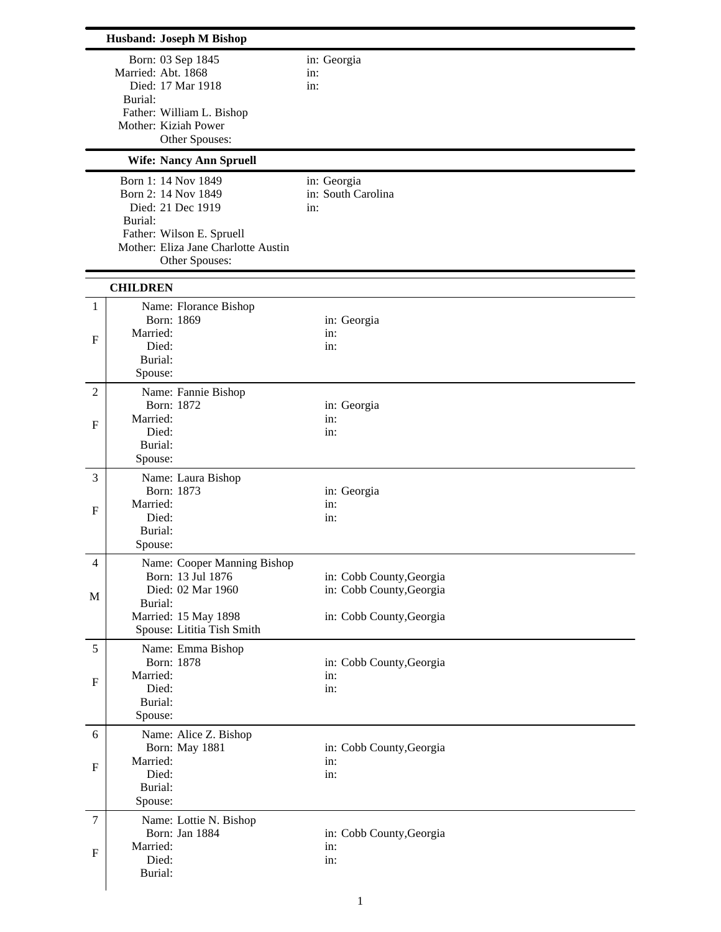| <b>Husband: Joseph M Bishop</b> |                                                                                                                                                                  |                                                                                  |  |  |
|---------------------------------|------------------------------------------------------------------------------------------------------------------------------------------------------------------|----------------------------------------------------------------------------------|--|--|
|                                 | Born: 03 Sep 1845<br>Married: Abt. 1868<br>Died: 17 Mar 1918<br>Burial:<br>Father: William L. Bishop<br>Mother: Kiziah Power<br>Other Spouses:                   | in: Georgia<br>in:<br>in:                                                        |  |  |
|                                 | <b>Wife: Nancy Ann Spruell</b>                                                                                                                                   |                                                                                  |  |  |
|                                 | Born 1: 14 Nov 1849<br>Born 2: 14 Nov 1849<br>Died: 21 Dec 1919<br>Burial:<br>Father: Wilson E. Spruell<br>Mother: Eliza Jane Charlotte Austin<br>Other Spouses: | in: Georgia<br>in: South Carolina<br>in:                                         |  |  |
|                                 | <b>CHILDREN</b>                                                                                                                                                  |                                                                                  |  |  |
| 1                               | Name: Florance Bishop<br>Born: 1869                                                                                                                              |                                                                                  |  |  |
| F                               | Married:<br>Died:<br>Burial:<br>Spouse:                                                                                                                          | in: Georgia<br>in:<br>in:                                                        |  |  |
| $\overline{2}$                  | Name: Fannie Bishop                                                                                                                                              |                                                                                  |  |  |
| $\mathbf F$                     | Born: 1872<br>Married:<br>Died:<br>Burial:<br>Spouse:                                                                                                            | in: Georgia<br>in:<br>in:                                                        |  |  |
| 3                               | Name: Laura Bishop                                                                                                                                               |                                                                                  |  |  |
| F                               | Born: 1873<br>Married:<br>Died:<br>Burial:<br>Spouse:                                                                                                            | in: Georgia<br>in:<br>in:                                                        |  |  |
| 4                               | Name: Cooper Manning Bishop                                                                                                                                      |                                                                                  |  |  |
| M                               | Born: 13 Jul 1876<br>Died: 02 Mar 1960<br>Burial:<br>Married: 15 May 1898                                                                                        | in: Cobb County, Georgia<br>in: Cobb County, Georgia<br>in: Cobb County, Georgia |  |  |
|                                 | Spouse: Lititia Tish Smith                                                                                                                                       |                                                                                  |  |  |
| 5<br>$\mathbf F$                | Name: Emma Bishop<br>Born: 1878<br>Married:<br>Died:<br>Burial:<br>Spouse:                                                                                       | in: Cobb County, Georgia<br>in:<br>in:                                           |  |  |
| 6                               | Name: Alice Z. Bishop                                                                                                                                            |                                                                                  |  |  |
| $\mathbf F$                     | Born: May 1881<br>Married:<br>Died:<br>Burial:<br>Spouse:                                                                                                        | in: Cobb County, Georgia<br>in:<br>in:                                           |  |  |
| $\overline{7}$                  | Name: Lottie N. Bishop                                                                                                                                           |                                                                                  |  |  |
| $\mathbf{F}$                    | Born: Jan 1884<br>Married:<br>Died:<br>Burial:                                                                                                                   | in: Cobb County, Georgia<br>in:<br>in:                                           |  |  |